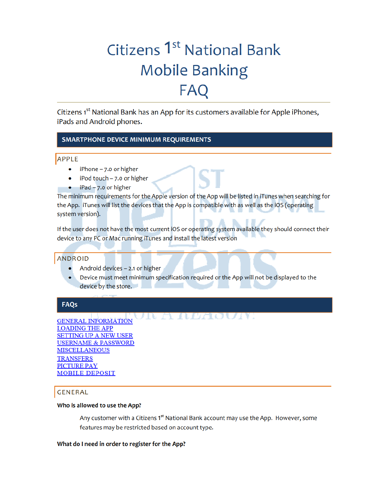# Citizens 1<sup>st</sup> National Bank **Mobile Banking FAQ**

Citizens 1<sup>st</sup> National Bank has an App for its customers available for Apple iPhones, iPads and Android phones.

# **SMARTPHONE DEVICE MINIMUM REQUIREMENTS**

# APPLE

- iPhone 7.0 or higher
- iPod touch 7.0 or higher  $\bullet$
- $iPad 7.0$  or higher

The minimum requirements for the Apple version of the App will be listed in iTunes when searching for the App. iTunes will list the devices that the App is compatible with as well as the iOS (operating system version).

If the user does not have the most current iOS or operating system available they should connect their device to any PC or Mac running iTunes and install the latest version

# **ANDROID**

- Android devices 2.1 or higher
- Device must meet minimum specification required or the App will not be displayed to the device by the store.

# **FAQs**

UR A ALAQUIV. **GENERAL INFORMATION LOADING THE APP SETTING UP A NEW USER USERNAME & PASSWORD MISCELLANEOUS TRANSFERS PICTURE PAY MOBILE DEPOSIT** 

# **GENERAL**

# Who is allowed to use the App?

Any customer with a Citizens 1<sup>st</sup> National Bank account may use the App. However, some features may be restricted based on account type.

# What do I need in order to register for the App?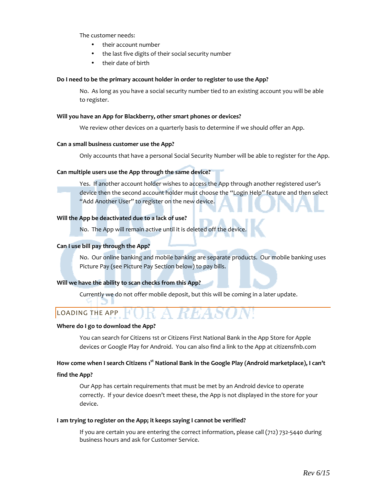The customer needs:

- their account number
- the last five digits of their social security number
- their date of birth

#### **Do I need to be the primary account holder in order to register to use the App?**

No. As long as you have a social security number tied to an existing account you will be able to register.

#### **Will you have an App for Blackberry, other smart phones or devices?**

We review other devices on a quarterly basis to determine if we should offer an App.

#### **Can a small business customer use the App?**

Only accounts that have a personal Social Security Number will be able to register for the App.

# **Can multiple users use the App through the same device?**

Yes. If another account holder wishes to access the App through another registered user's device then the second account holder must choose the "Login Help" feature and then select "Add Another User" to register on the new device.

# **Will the App be deactivated due to a lack of use?**

No. The App will remain active until it is deleted off the device.

# **Can I use bill pay through the App?**

No. Our online banking and mobile banking are separate products. Our mobile banking uses Picture Pay (see Picture Pay Section below) to pay bills.

# **Will we have the ability to scan checks from this App?**

Currently we do not offer mobile deposit, but this will be coming in a later update.

# LOADING THE APP

# **Where do I go to download the App?**

You can search for Citizens 1st or Citizens First National Bank in the App Store for Apple devices or Google Play for Android. You can also find a link to the App at citizensfnb.com

# **How come when I search Citizens 1st National Bank in the Google Play (Android marketplace), I can't**

#### **find the App?**

Our App has certain requirements that must be met by an Android device to operate correctly. If your device doesn't meet these, the App is not displayed in the store for your device.

#### **I am trying to register on the App; it keeps saying I cannot be verified?**

If you are certain you are entering the correct information, please call (712) 732-5440 during business hours and ask for Customer Service.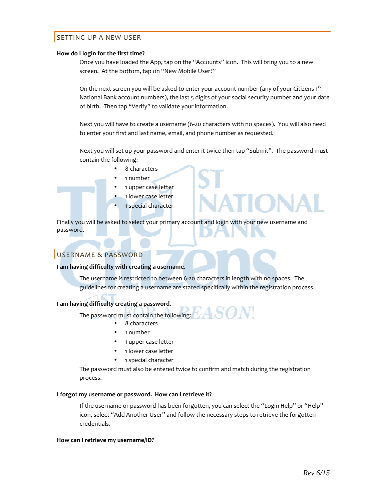# SETTING UP A NEW USER

#### **How do I login for the first time?**

Once you have loaded the App, tap on the "Accounts" icon. This will bring you to a new screen. At the bottom, tap on "New Mobile User?"

On the next screen you will be asked to enter your account number (any of your Citizens 1st National Bank account numbers), the last 5 digits of your social security number and your date of birth. Then tap "Verify" to validate your information.

Next you will have to create a username (6-20 characters with no spaces). You will also need to enter your first and last name, email, and phone number as requested.

Next you will set up your password and enter it twice then tap "Submit". The password must contain the following:

- 8 characters
- 1 number
- 1 upper case letter
- 1 lower case letter
- 1 special character

Finally you will be asked to select your primary account and login with your new username and password.

# USERNAME & PASSWORD

#### **I am having difficulty with creating a username.**

The username is restricted to between 6-20 characters in length with no spaces. The guidelines for creating a username are stated specifically within the registration process.

# **I am having difficulty creating a password.**

The password must contain the following:  $H/A$ 

- 8 characters
- 1 number
- 1 upper case letter
- 1 lower case letter
- 1 special character

The password must also be entered twice to confirm and match during the registration process.

#### **I forgot my username or password. How can I retrieve it?**

If the username or password has been forgotten, you can select the "Login Help" or "Help" icon, select "Add Another User" and follow the necessary steps to retrieve the forgotten credentials.

#### **How can I retrieve my username/ID?**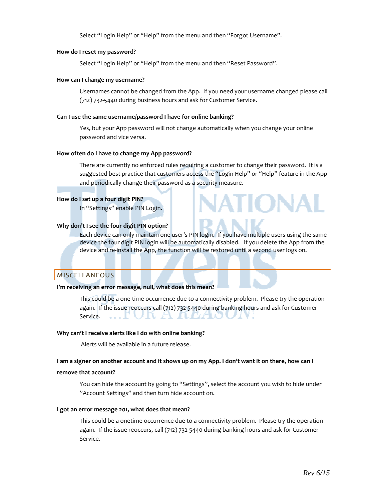Select "Login Help" or "Help" from the menu and then "Forgot Username".

#### **How do I reset my password?**

Select "Login Help" or "Help" from the menu and then "Reset Password".

#### **How can I change my username?**

Usernames cannot be changed from the App. If you need your username changed please call (712) 732-5440 during business hours and ask for Customer Service.

#### **Can I use the same username/password I have for online banking?**

Yes, but your App password will not change automatically when you change your online password and vice versa.

#### **How often do I have to change my App password?**

There are currently no enforced rules requiring a customer to change their password. It is a suggested best practice that customers access the "Login Help" or "Help" feature in the App and periodically change their password as a security measure.

# **How do I set up a four digit PIN?**

In "Settings" enable PIN Login.

# **Why don't I see the four digit PIN option?**

Each device can only maintain one user's PIN login. If you have multiple users using the same device the four digit PIN login will be automatically disabled. If you delete the App from the device and re-install the App, the function will be restored until a second user logs on.

# **MISCELLANEOUS**

#### **I'm receiving an error message, null, what does this mean?**

This could be a one-time occurrence due to a connectivity problem. Please try the operation again. If the issue reoccurs call (712) 732-5440 during banking hours and ask for Customer UR A REZIO Service.

# **Why can't I receive alerts like I do with online banking?**

Alerts will be available in a future release.

#### **I am a signer on another account and it shows up on my App. I don't want it on there, how can I**

#### **remove that account?**

You can hide the account by going to "Settings", select the account you wish to hide under "Account Settings" and then turn hide account on.

#### **I got an error message 201, what does that mean?**

This could be a onetime occurrence due to a connectivity problem. Please try the operation again. If the issue reoccurs, call (712) 732-5440 during banking hours and ask for Customer Service.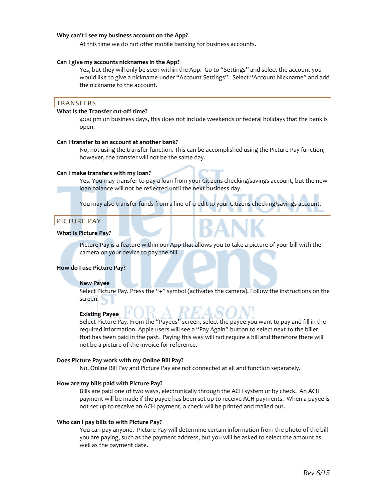#### **Why can't I see my business account on the App?**

At this time we do not offer mobile banking for business accounts.

#### **Can I give my accounts nicknames in the App?**

Yes, but they will only be seen within the App. Go to "Settings" and select the account you would like to give a nickname under "Account Settings". Select "Account Nickname" and add the nickname to the account.

#### TRANSFERS

# **What is the Transfer cut-off time?**

4:00 pm on business days, this does not include weekends or federal holidays that the bank is open.

#### **Can I transfer to an account at another bank?**

No, not using the transfer function. This can be accomplished using the Picture Pay function; however, the transfer will not be the same day.

#### **Can I make transfers with my loan?**

Yes. You may transfer to pay a loan from your Citizens checking/savings account, but the new loan balance will not be reflected until the next business day.

You may also transfer funds from a line-of-credit to your Citizens checking/savings account.

# PICTURE PAY

#### **What is Picture Pay?**

Picture Pay is a feature within our App that allows you to take a picture of your bill with the camera on your device to pay the bill.

#### **How do I use Picture Pay?**

#### **New Payee**

Select Picture Pay. Press the "+" symbol (activates the camera). Follow the instructions on the screen.

#### **Existing Payee**

Select Picture Pay. From the "Payees" screen, select the payee you want to pay and fill in the required information. Apple users will see a "Pay Again" button to select next to the biller that has been paid in the past. Paying this way will not require a bill and therefore there will not be a picture of the invoice for reference.

#### **Does Picture Pay work with my Online Bill Pay?**

No, Online Bill Pay and Picture Pay are not connected at all and function separately.

#### **How are my bills paid with Picture Pay?**

Bills are paid one of two ways, electronically through the ACH system or by check. An ACH payment will be made if the payee has been set up to receive ACH payments. When a payee is not set up to receive an ACH payment, a check will be printed and mailed out.

#### **Who can I pay bills to with Picture Pay?**

You can pay anyone. Picture Pay will determine certain information from the photo of the bill you are paying, such as the payment address, but you will be asked to select the amount as well as the payment date.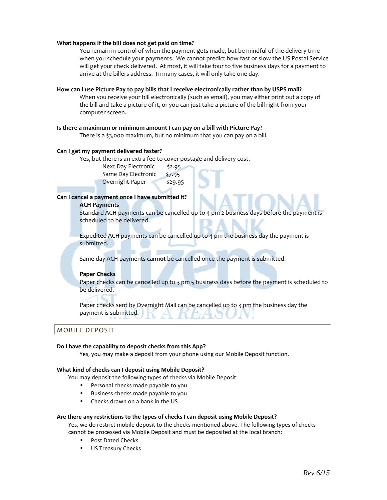#### **What happens if the bill does not get paid on time?**

You remain in control of when the payment gets made, but be mindful of the delivery time when you schedule your payments. We cannot predict how fast or slow the US Postal Service will get your check delivered. At most, it will take four to five business days for a payment to arrive at the billers address. In many cases, it will only take one day.

#### **How can I use Picture Pay to pay bills that I receive electronically rather than by USPS mail?**

When you receive your bill electronically (such as email), you may either print out a copy of the bill and take a picture of it, or you can just take a picture of the bill right from your computer screen.

#### **Is there a maximum or minimum amount I can pay on a bill with Picture Pay?**

There is a \$3,000 maximum, but no minimum that you can pay on a bill.

#### **Can I get my payment delivered faster?**

Yes, but there is an extra fee to cover postage and delivery cost.

Next Day Electronic \$2.95 Same Day Electronic \$7.95 Overnight Paper \$29.95

# **Can I cancel a payment once I have submitted it?**

#### **ACH Payments**

Standard ACH payments can be cancelled up to 4 pm 2 business days before the payment is scheduled to be delivered.

Expedited ACH payments can be cancelled up to 4 pm the business day the payment is submitted.

Same day ACH payments **cannot** be cancelled once the payment is submitted.

# **Paper Checks**

Paper checks can be cancelled up to 3 pm 5 business days before the payment is scheduled to be delivered.

Paper checks sent by Overnight Mail can be cancelled up to 3 pm the business day the payment is submitted.

# MOBILE DEPOSIT

#### **Do I have the capability to deposit checks from this App?**

Yes, you may make a deposit from your phone using our Mobile Deposit function.

#### **What kind of checks can I deposit using Mobile Deposit?**

You may deposit the following types of checks via Mobile Deposit:

- Personal checks made payable to you
- Business checks made payable to you
- Checks drawn on a bank in the US

# **Are there any restrictions to the types of checks I can deposit using Mobile Deposit?**

Yes, we do restrict mobile deposit to the checks mentioned above. The following types of checks cannot be processed via Mobile Deposit and must be deposited at the local branch:

- Post Dated Checks
- US Treasury Checks